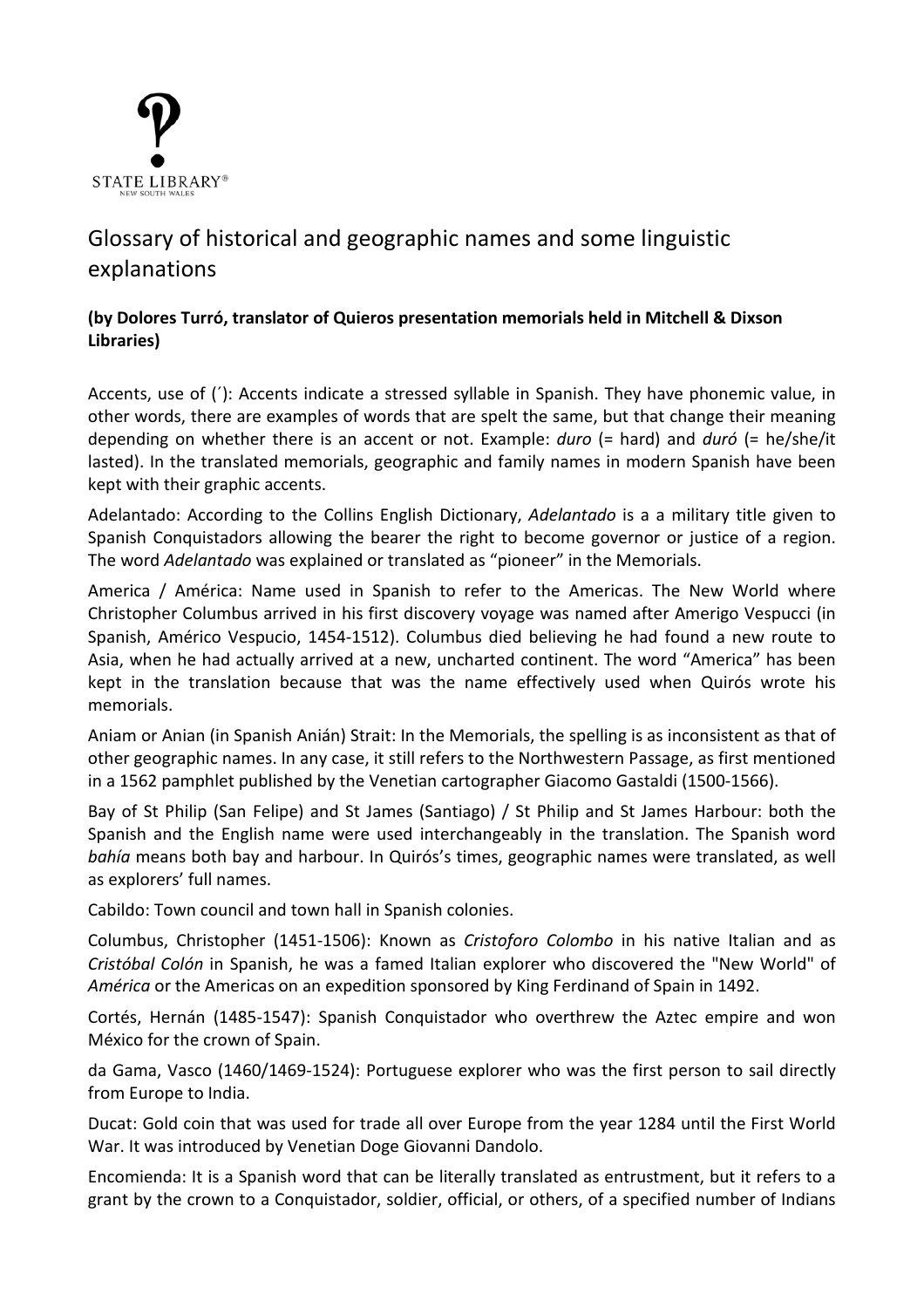

## Glossary of historical and geographic names and some linguistic explanations

## **(by Dolores Turró, translator of Quieros presentation memorials held in Mitchell & Dixson Libraries)**

Accents, use of (´): Accents indicate a stressed syllable in Spanish. They have phonemic value, in other words, there are examples of words that are spelt the same, but that change their meaning depending on whether there is an accent or not. Example: *duro* (= hard) and *duró* (= he/she/it lasted). In the translated memorials, geographic and family names in modern Spanish have been kept with their graphic accents.

Adelantado: According to the Collins English Dictionary, *Adelantado* is a a military title given to Spanish Conquistadors allowing the bearer the right to become governor or justice of a region. The word *Adelantado* was explained or translated as "pioneer" in the Memorials.

America / América: Name used in Spanish to refer to the Americas. The New World where Christopher Columbus arrived in his first discovery voyage was named after Amerigo Vespucci (in Spanish, Américo Vespucio, 1454-1512). Columbus died believing he had found a new route to Asia, when he had actually arrived at a new, uncharted continent. The word "America" has been kept in the translation because that was the name effectively used when Quirós wrote his memorials.

Aniam or Anian (in Spanish Anián) Strait: In the Memorials, the spelling is as inconsistent as that of other geographic names. In any case, it still refers to the Northwestern Passage, as first mentioned in a 1562 pamphlet published by the Venetian cartographer Giacomo Gastaldi (1500-1566).

Bay of St Philip (San Felipe) and St James (Santiago) / St Philip and St James Harbour: both the Spanish and the English name were used interchangeably in the translation. The Spanish word *bahía* means both bay and harbour. In Quirós's times, geographic names were translated, as well as explorers' full names.

Cabildo: Town council and town hall in Spanish colonies.

Columbus, Christopher (1451-1506): Known as *Cristoforo Colombo* in his native Italian and as *Cristóbal Colón* in Spanish, he was a famed Italian explorer who discovered the "New World" of *América* or the Americas on an expedition sponsored by King Ferdinand of Spain in 1492.

Cortés, Hernán (1485-1547): Spanish Conquistador who overthrew the Aztec empire and won México for the crown of Spain.

da Gama, Vasco (1460/1469-1524): Portuguese explorer who was the first person to sail directly from Europe to India.

Ducat: Gold coin that was used for trade all over Europe from the year 1284 until the First World War. It was introduced by Venetian Doge Giovanni Dandolo.

Encomienda: It is a Spanish word that can be literally translated as entrustment, but it refers to a grant by the crown to a Conquistador, soldier, official, or others, of a specified number of Indians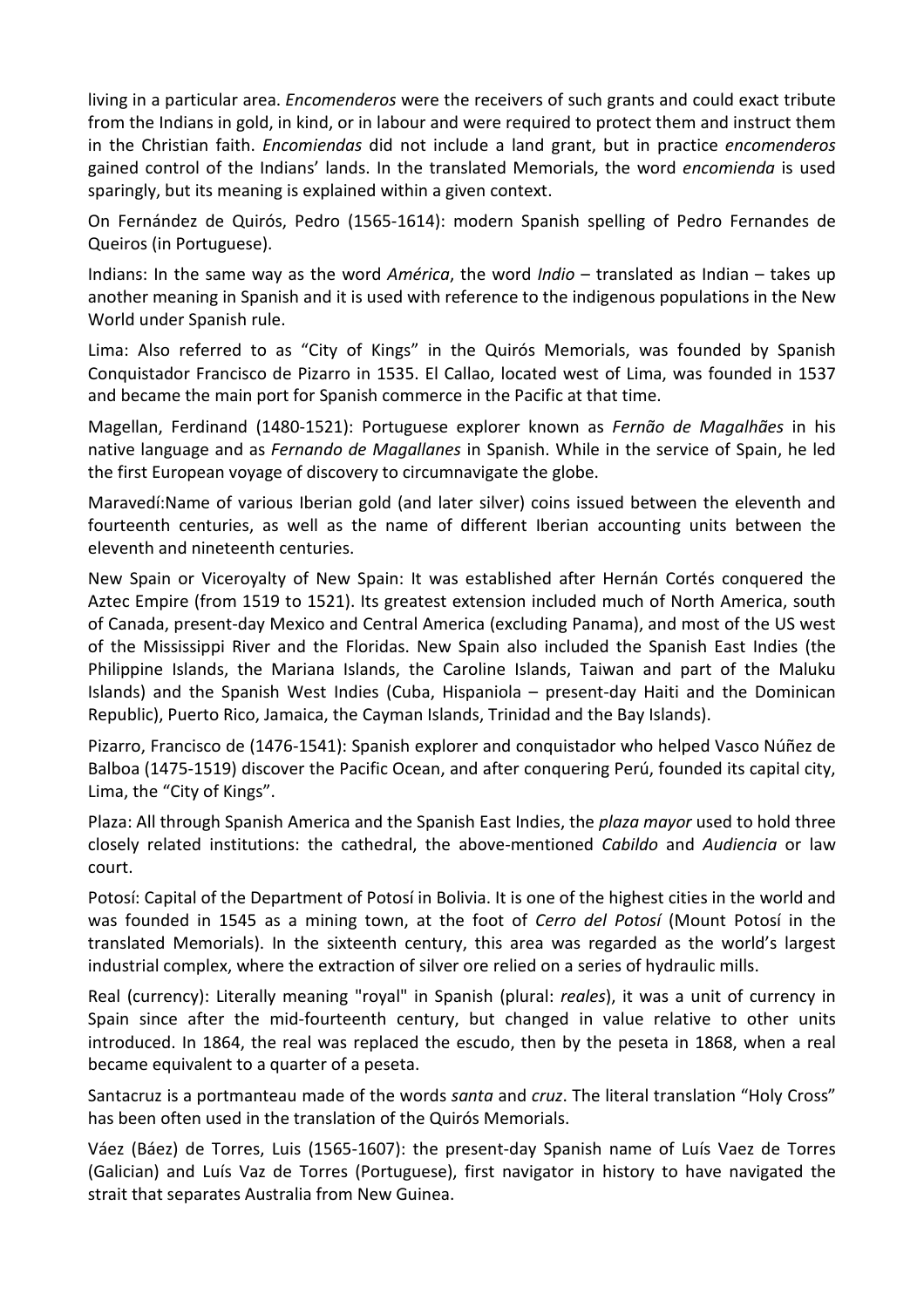living in a particular area. *Encomenderos* were the receivers of such grants and could exact tribute from the Indians in gold, in kind, or in labour and were required to protect them and instruct them in the Christian faith. *Encomiendas* did not include a land grant, but in practice *encomenderos*  gained control of the Indians' lands. In the translated Memorials, the word *encomienda* is used sparingly, but its meaning is explained within a given context.

On Fernández de Quirós, Pedro (1565-1614): modern Spanish spelling of Pedro Fernandes de Queiros (in Portuguese).

Indians: In the same way as the word *América*, the word *Indio* – translated as Indian – takes up another meaning in Spanish and it is used with reference to the indigenous populations in the New World under Spanish rule.

Lima: Also referred to as "City of Kings" in the Quirós Memorials, was founded by Spanish Conquistador Francisco de Pizarro in 1535. El Callao, located west of Lima, was founded in 1537 and became the main port for Spanish commerce in the Pacific at that time.

Magellan, Ferdinand (1480-1521): Portuguese explorer known as *Fernão de Magalhães* in his native language and as *Fernando de Magallanes* in Spanish. While in the service of Spain, he led the first European voyage of discovery to circumnavigate the globe.

Maravedí:Name of various Iberian gold (and later silver) coins issued between the eleventh and fourteenth centuries, as well as the name of different Iberian accounting units between the eleventh and nineteenth centuries.

New Spain or Viceroyalty of New Spain: It was established after Hernán Cortés conquered the Aztec Empire (from 1519 to 1521). Its greatest extension included much of North America, south of Canada, present-day Mexico and Central America (excluding Panama), and most of the US west of the Mississippi River and the Floridas. New Spain also included the Spanish East Indies (the Philippine Islands, the Mariana Islands, the Caroline Islands, Taiwan and part of the Maluku Islands) and the Spanish West Indies (Cuba, Hispaniola – present-day Haiti and the Dominican Republic), Puerto Rico, Jamaica, the Cayman Islands, Trinidad and the Bay Islands).

Pizarro, Francisco de (1476-1541): Spanish explorer and conquistador who helped Vasco Núñez de Balboa (1475-1519) discover the Pacific Ocean, and after conquering Perú, founded its capital city, Lima, the "City of Kings".

Plaza: All through Spanish America and the Spanish East Indies, the *plaza mayor* used to hold three closely related institutions: the cathedral, the above-mentioned *Cabildo* and *Audiencia* or law court.

Potosí: Capital of the Department of Potosí in Bolivia. It is one of the highest cities in the world and was founded in 1545 as a mining town, at the foot of *Cerro del Potosí* (Mount Potosí in the translated Memorials). In the sixteenth century, this area was regarded as the world's largest industrial complex, where the extraction of silver ore relied on a series of hydraulic mills.

Real (currency): Literally meaning "royal" in Spanish (plural: *reales*), it was a unit of currency in Spain since after the mid-fourteenth century, but changed in value relative to other units introduced. In 1864, the real was replaced the escudo, then by the peseta in 1868, when a real became equivalent to a quarter of a peseta.

Santacruz is a portmanteau made of the words *santa* and *cruz*. The literal translation "Holy Cross" has been often used in the translation of the Quirós Memorials.

Váez (Báez) de Torres, Luis (1565-1607): the present-day Spanish name of Luís Vaez de Torres (Galician) and Luís Vaz de Torres (Portuguese), first navigator in history to have navigated the strait that separates Australia from New Guinea.